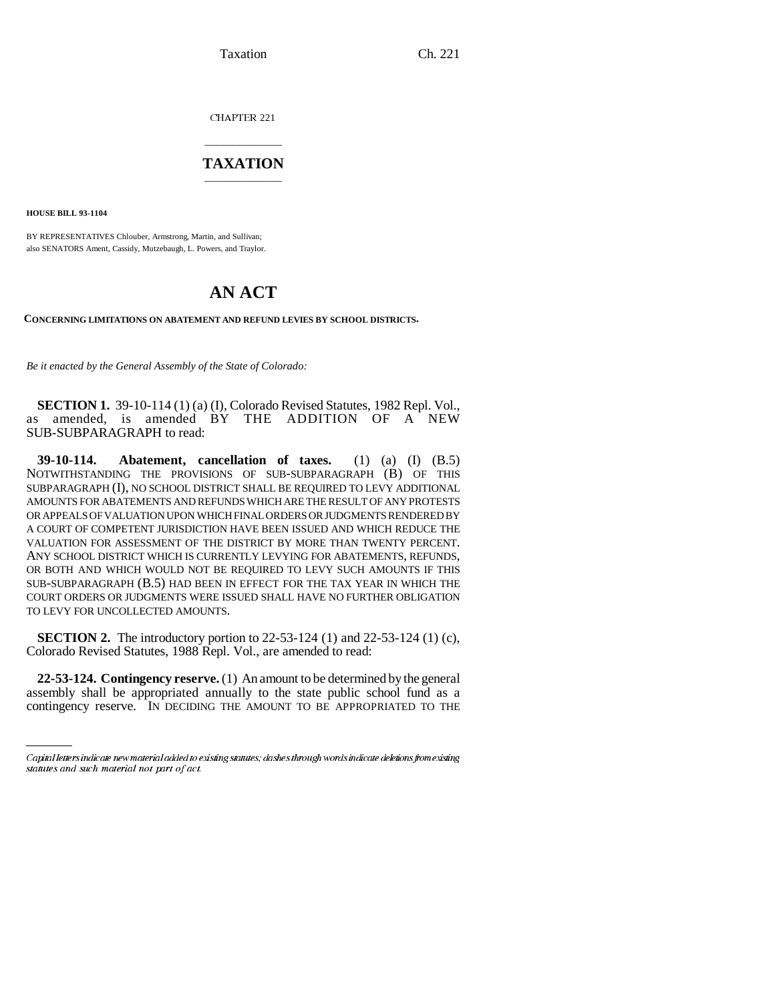Taxation Ch. 221

CHAPTER 221

## \_\_\_\_\_\_\_\_\_\_\_\_\_\_\_ **TAXATION** \_\_\_\_\_\_\_\_\_\_\_\_\_\_\_

**HOUSE BILL 93-1104**

BY REPRESENTATIVES Chlouber, Armstrong, Martin, and Sullivan; also SENATORS Ament, Cassidy, Mutzebaugh, L. Powers, and Traylor.

## **AN ACT**

**CONCERNING LIMITATIONS ON ABATEMENT AND REFUND LEVIES BY SCHOOL DISTRICTS.**

*Be it enacted by the General Assembly of the State of Colorado:*

**SECTION 1.** 39-10-114 (1) (a) (I), Colorado Revised Statutes, 1982 Repl. Vol., as amended, is amended BY THE ADDITION OF A NEW SUB-SUBPARAGRAPH to read:

**39-10-114. Abatement, cancellation of taxes.** (1) (a) (I) (B.5) NOTWITHSTANDING THE PROVISIONS OF SUB-SUBPARAGRAPH (B) OF THIS SUBPARAGRAPH (I), NO SCHOOL DISTRICT SHALL BE REQUIRED TO LEVY ADDITIONAL AMOUNTS FOR ABATEMENTS AND REFUNDS WHICH ARE THE RESULT OF ANY PROTESTS OR APPEALS OF VALUATION UPON WHICH FINAL ORDERS OR JUDGMENTS RENDERED BY A COURT OF COMPETENT JURISDICTION HAVE BEEN ISSUED AND WHICH REDUCE THE VALUATION FOR ASSESSMENT OF THE DISTRICT BY MORE THAN TWENTY PERCENT. ANY SCHOOL DISTRICT WHICH IS CURRENTLY LEVYING FOR ABATEMENTS, REFUNDS, OR BOTH AND WHICH WOULD NOT BE REQUIRED TO LEVY SUCH AMOUNTS IF THIS SUB-SUBPARAGRAPH (B.5) HAD BEEN IN EFFECT FOR THE TAX YEAR IN WHICH THE COURT ORDERS OR JUDGMENTS WERE ISSUED SHALL HAVE NO FURTHER OBLIGATION TO LEVY FOR UNCOLLECTED AMOUNTS.

**SECTION 2.** The introductory portion to 22-53-124 (1) and 22-53-124 (1) (c), Colorado Revised Statutes, 1988 Repl. Vol., are amended to read:

contingency reserve. IN DECIDING THE AMOUNT TO BE APPROPRIATED TO THE**22-53-124. Contingency reserve.** (1) An amount to be determined by the general assembly shall be appropriated annually to the state public school fund as a

Capital letters indicate new material added to existing statutes; dashes through words indicate deletions from existing statutes and such material not part of act.